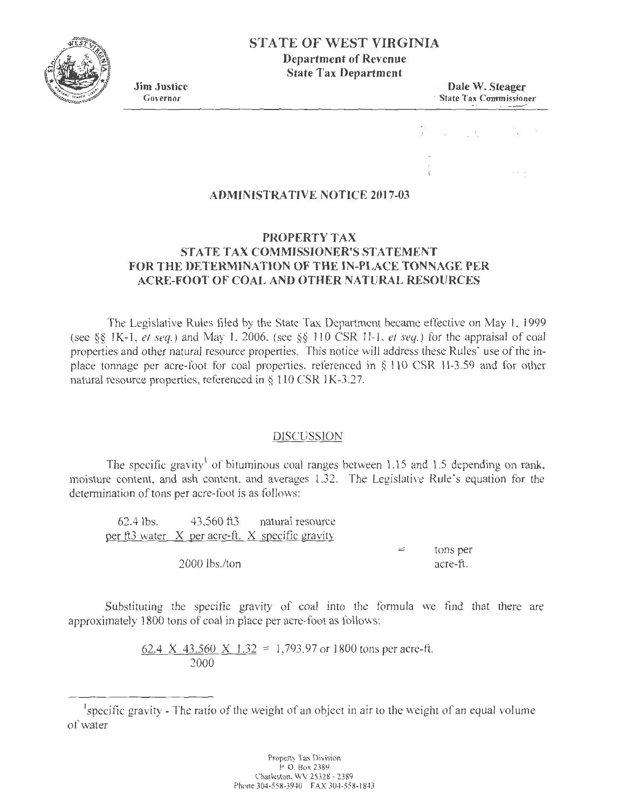# **STATE OF WEST VIRGINIA Department of Revenue**

**State Tax Department** 

**Jim Justice Dale W. Steager Covernor Covernor Covernor Covernor Covernor Covernor Covernor Covernor Covernor Covernor Covernor Covernor Covernor Covernor Covernor Covernor Covernor Covernor Covernor Covernor Covernor Cove** State Tax Commissioner . ~~

### **ADMINISTRATIVE NOTICE 2017-03**

# **PROPERTY TAX STATE TAX COMMISSIONER'S STATEMENT FOR THE DETERMINATION OF THE IN-PLACE TONNAGE PER ACRE-FOOT OF COAL AND OTHER NATURAL RESOURCES**

The Legislative Rules filed by the State Tax Department became effective on May I, 1999 (see §§ 1K-1, et seq.) and May 1, 2006, (see §§ 110 CSR 1I-1, et seq.) for the appraisal of coal properties and other natural resource properties. This notice will address these Rules' use of the inplace tonnage per acre-foot for coal properties, referenced in  $\S$  110 CSR 1I-3.59 and for other natural resource properties, referenced in § 110 CSR 1K-3.27.

#### DISCUSSION

The specific gravity<sup>1</sup> of bituminous coal ranges between 1.15 and 1.5 depending on rank, moisture content, and ash content, and averages 1.32. The Legislative Rule's equation for the determination of tons per acre-foot is as follows:

62.4 lbs. 43,560 ft3 natural resource per ft3 water X per acre-ft. X specific gravity 2000 lbs./ton  $=$  tons per acre-ft.

Substituting the specific gravity of coal into the formula we find that there are approximately 1800 tons of coal in place per acre-foot as follows:

> 62.4 X 43,560 X 1.32 = 1,793.97 or 1800 tons per acre-ft. 2000



<sup>&</sup>lt;sup>1</sup> specific gravity - The ratio of the weight of an object in air to the weight of an equal volume of water